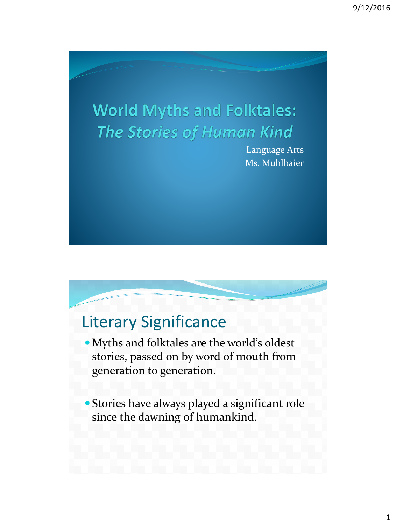# **World Myths and Folktales: The Stories of Human Kind**

Language Arts Ms. Muhlbaier

#### Literary Significance

- Myths and folktales are the world's oldest stories, passed on by word of mouth from generation to generation.
- Stories have always played a significant role since the dawning of humankind.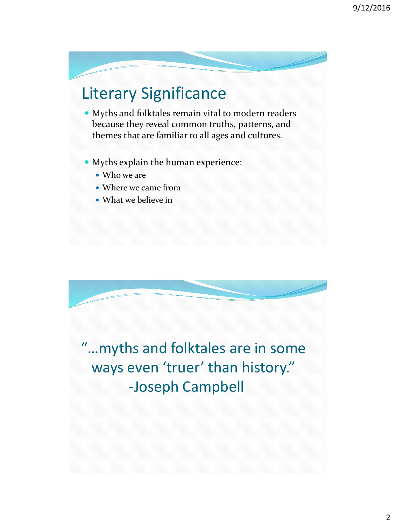## Literary Significance

- Myths and folktales remain vital to modern readers because they reveal common truths, patterns, and themes that are familiar to all ages and cultures.
- Myths explain the human experience:
	- Who we are
	- Where we came from
	- What we believe in

"…myths and folktales are in some ways even 'truer' than history." -Joseph Campbell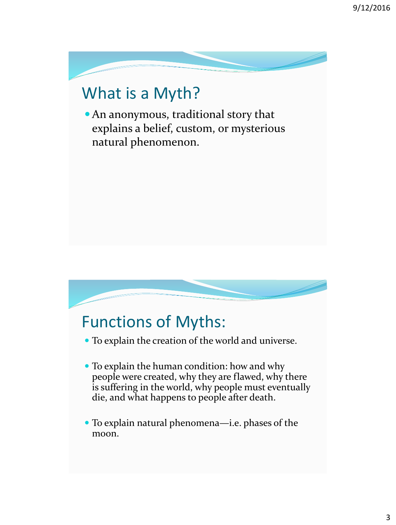## What is a Myth?

An anonymous, traditional story that explains a belief, custom, or mysterious natural phenomenon.

## Functions of Myths:

- To explain the creation of the world and universe.
- To explain the human condition: how and why people were created, why they are flawed, why there is suffering in the world, why people must eventually die, and what happens to people after death.
- To explain natural phenomena—i.e. phases of the moon.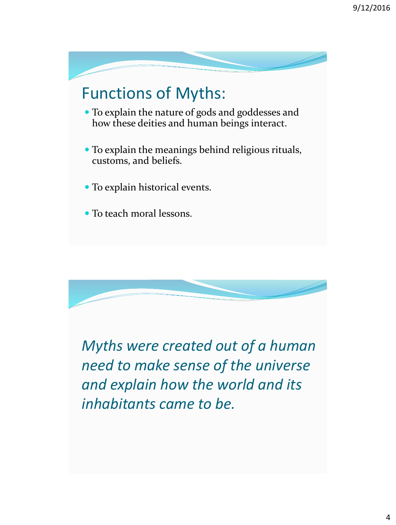



*Myths were created out of a human need to make sense of the universe and explain how the world and its inhabitants came to be.*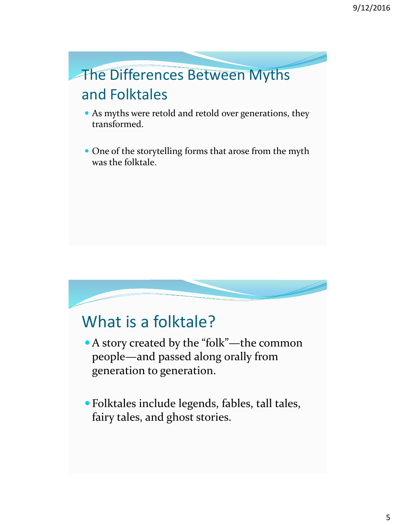## The Differences Between Myths and Folktales

- As myths were retold and retold over generations, they transformed.
- One of the storytelling forms that arose from the myth was the folktale.

#### What is a folktale?

- A story created by the "folk"—the common people—and passed along orally from generation to generation.
- Folktales include legends, fables, tall tales, fairy tales, and ghost stories.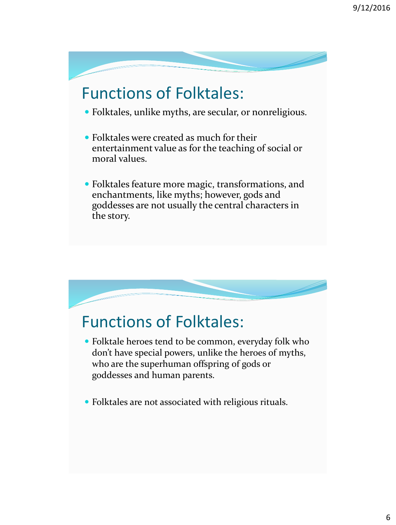### Functions of Folktales:

- Folktales, unlike myths, are secular, or nonreligious.
- Folktales were created as much for their entertainment value as for the teaching of social or moral values.
- Folktales feature more magic, transformations, and enchantments, like myths; however, gods and goddesses are not usually the central characters in the story.